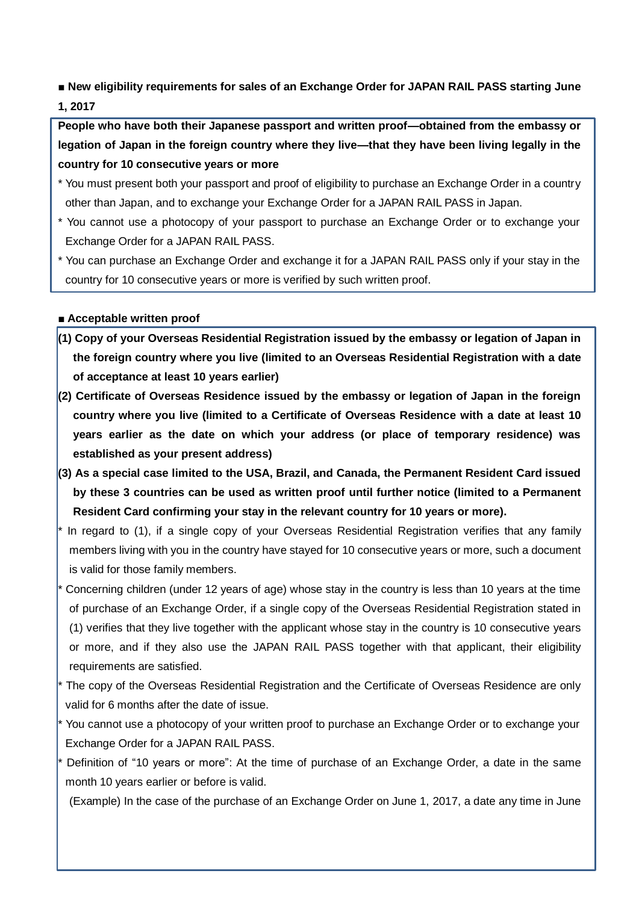**■ New eligibility requirements for sales of an Exchange Order for JAPAN RAIL PASS starting June 1, 2017**

**People who have both their Japanese passport and written proof—obtained from the embassy or legation of Japan in the foreign country where they live—that they have been living legally in the country for 10 consecutive years or more**

- \* You must present both your passport and proof of eligibility to purchase an Exchange Order in a country other than Japan, and to exchange your Exchange Order for a JAPAN RAIL PASS in Japan.
- \* You cannot use a photocopy of your passport to purchase an Exchange Order or to exchange your Exchange Order for a JAPAN RAIL PASS.
- \* You can purchase an Exchange Order and exchange it for a JAPAN RAIL PASS only if your stay in the country for 10 consecutive years or more is verified by such written proof.

### **■ Acceptable written proof**

- **(1) Copy of your Overseas Residential Registration issued by the embassy or legation of Japan in the foreign country where you live (limited to an Overseas Residential Registration with a date of acceptance at least 10 years earlier)**
- **(2) Certificate of Overseas Residence issued by the embassy or legation of Japan in the foreign country where you live (limited to a Certificate of Overseas Residence with a date at least 10 years earlier as the date on which your address (or place of temporary residence) was established as your present address)**
- **(3) As a special case limited to the USA, Brazil, and Canada, the Permanent Resident Card issued by these 3 countries can be used as written proof until further notice (limited to a Permanent Resident Card confirming your stay in the relevant country for 10 years or more).**
- In regard to (1), if a single copy of your Overseas Residential Registration verifies that any family members living with you in the country have stayed for 10 consecutive years or more, such a document is valid for those family members.
- Concerning children (under 12 years of age) whose stay in the country is less than 10 years at the time of purchase of an Exchange Order, if a single copy of the Overseas Residential Registration stated in (1) verifies that they live together with the applicant whose stay in the country is 10 consecutive years or more, and if they also use the JAPAN RAIL PASS together with that applicant, their eligibility requirements are satisfied.
- The copy of the Overseas Residential Registration and the Certificate of Overseas Residence are only valid for 6 months after the date of issue.
- You cannot use a photocopy of your written proof to purchase an Exchange Order or to exchange your Exchange Order for a JAPAN RAIL PASS.
- Definition of "10 years or more": At the time of purchase of an Exchange Order, a date in the same month 10 years earlier or before is valid.
- (Example) In the case of the purchase of an Exchange Order on June 1, 2017, a date any time in June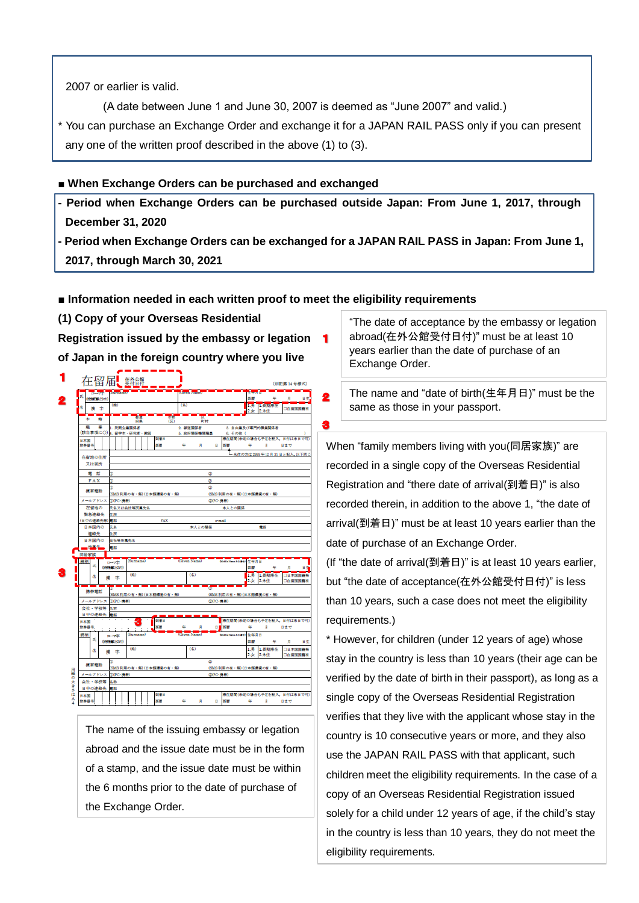2007 or earlier is valid.

(A date between June 1 and June 30, 2007 is deemed as "June 2007" and valid.)

\* You can purchase an Exchange Order and exchange it for a JAPAN RAIL PASS only if you can present any one of the written proof described in the above (1) to (3).

#### **■ When Exchange Orders can be purchased and exchanged**

- **- Period when Exchange Orders can be purchased outside Japan: From June 1, 2017, through December 31, 2020**
- **- Period when Exchange Orders can be exchanged for a JAPAN RAIL PASS in Japan: From June 1, 2017, through March 30, 2021**

 $\overline{\mathbf{2}}$ 

#### **■ Information needed in each written proof to meet the eligibility requirements**

**(1) Copy of your Overseas Residential** 

**Registration issued by the embassy or legation of Japan in the foreign country where you live**

|              |             | 在留届し 難轉                |              |                                                           |                 |  |         |                                                                               |  |                          |                      |           |             |         |        |                                                    |      |                               |  | (別記集 14 号様式)               |    |
|--------------|-------------|------------------------|--------------|-----------------------------------------------------------|-----------------|--|---------|-------------------------------------------------------------------------------|--|--------------------------|----------------------|-----------|-------------|---------|--------|----------------------------------------------------|------|-------------------------------|--|----------------------------|----|
|              |             | <b>NEW POST</b>        |              |                                                           |                 |  |         |                                                                               |  |                          |                      | Banca Ban |             |         |        |                                                    | 西野   |                               |  | д                          | 日生 |
|              | 名           |                        | \$           | (15)                                                      |                 |  |         |                                                                               |  |                          |                      | (4)       |             |         |        |                                                    | 2.4x | <b>183 Beautiful</b><br>2.4.0 |  | 口在留国国籍有                    |    |
|              | ٠           | 箝                      |              |                                                           |                 |  | х<br>府具 |                                                                               |  |                          | a.<br>$(\mathbb{K})$ |           | 町村          |         |        |                                                    |      |                               |  |                            |    |
|              | 嗟           | 塞                      |              |                                                           | 1. 民間企業開保者      |  |         |                                                                               |  |                          |                      |           | 2. 報道関係者    |         |        | 3. 自由業及び専門的職業関係者                                   |      |                               |  |                            |    |
|              |             | (該当事項に〇) 4. 留学生・研究者・教師 |              |                                                           |                 |  |         |                                                                               |  | 联管日                      |                      |           | 5. 政府開信機関聯盟 |         |        | 6. その他 (<br>滞在期間(未定の場合も予定を記入、日付は末日で可               |      |                               |  |                            |    |
|              | 日本国<br>旅游番号 |                        |              |                                                           |                 |  |         |                                                                               |  | 百首                       |                      | GG.       | д           |         | B      | мu                                                 | 福    | д                             |  | 日まで                        |    |
|              |             |                        |              |                                                           |                 |  |         |                                                                               |  |                          |                      |           |             |         |        |                                                    |      |                               |  | ■ 永住の方は2999年12月31日と記入。以下同1 |    |
|              |             | 在留地の作所                 |              |                                                           |                 |  |         |                                                                               |  |                          |                      |           |             |         |        |                                                    |      |                               |  |                            |    |
|              |             | 又は居所                   |              |                                                           |                 |  |         |                                                                               |  |                          |                      |           |             |         |        |                                                    |      |                               |  |                            |    |
|              |             | 電話                     |              | Φ                                                         |                 |  |         |                                                                               |  |                          |                      |           |             | Φ       |        |                                                    |      |                               |  |                            |    |
|              | <b>FAX</b>  |                        |              |                                                           |                 |  |         |                                                                               |  |                          |                      |           |             | Φ       |        |                                                    |      |                               |  |                            |    |
|              |             | 横帯電話                   |              | Φ                                                         |                 |  |         |                                                                               |  |                          |                      |           |             | $\circ$ |        |                                                    |      |                               |  |                            |    |
|              |             | メールアドレス                |              |                                                           | (DIPC-携带)       |  |         |                                                                               |  | (SMS 利用の有・偏) (日本語環境の有・偏) |                      |           |             |         |        | (SMS 利用の有・価) (日本販売電の有・価)<br>(20PC-携帯)              |      |                               |  |                            |    |
|              |             | 在留地の                   |              |                                                           | 氏名又は会社等所属先名     |  |         |                                                                               |  |                          |                      |           |             |         |        | 本人との関係                                             |      |                               |  |                            |    |
|              |             | 緊急連絡先                  |              | 住所                                                        |                 |  |         |                                                                               |  |                          |                      |           |             |         |        |                                                    |      |                               |  |                            |    |
|              |             | (日中の連絡先等)              |              | 意括                                                        |                 |  |         |                                                                               |  | FAX                      |                      |           |             |         | ernail |                                                    |      |                               |  |                            |    |
|              | 日本国内の       |                        |              | 氏名                                                        |                 |  |         |                                                                               |  |                          |                      |           | 本人との開係      |         |        |                                                    |      | 意飯                            |  |                            |    |
|              |             | 連絡先                    |              | 住所                                                        |                 |  |         |                                                                               |  |                          |                      |           |             |         |        |                                                    |      |                               |  |                            |    |
|              |             | 日本国内の                  |              | 会社等所属先名                                                   |                 |  |         |                                                                               |  |                          |                      |           |             |         |        |                                                    |      |                               |  |                            |    |
|              | 同居家族        | 用某头                    |              | 電話                                                        |                 |  |         |                                                                               |  |                          |                      |           |             |         |        |                                                    |      |                               |  |                            |    |
|              | 東橋          |                        |              | $\frac{1}{2}$                                             |                 |  | Surnamo |                                                                               |  |                          |                      |           |             |         |        | (Civen Name) <b>The Michael And All Card &amp;</b> |      |                               |  |                            |    |
|              |             | ré                     |              |                                                           | (1009) 227-2370 |  |         |                                                                               |  |                          |                      |           |             |         |        |                                                    | 西郡   |                               |  | 貝                          | 84 |
|              |             | š.                     |              |                                                           |                 |  | (35)    |                                                                               |  |                          |                      |           | (4)         |         |        |                                                    |      | 1.男 日長期経在                     |  | 口日本国民産品                    |    |
|              |             |                        | 纄            | 字                                                         |                 |  |         |                                                                               |  |                          |                      |           |             |         |        |                                                    | 2.5x | 2.永佳                          |  | 口在留国国籍有                    |    |
|              |             | 機帯電話                   |              |                                                           |                 |  |         |                                                                               |  |                          |                      |           |             |         |        |                                                    |      |                               |  |                            |    |
|              |             |                        |              | (SMS 利用の有・無) (日本語環境の有・無)<br>(SMS 利用の有・偏) (日本類産度の有・偏)      |                 |  |         |                                                                               |  |                          |                      |           |             |         |        |                                                    |      |                               |  |                            |    |
|              |             | メールアドレス<br>会社・学校等      |              | <b>(DIPC-携帯)</b><br>(20PC-携帯)<br>名数                       |                 |  |         |                                                                               |  |                          |                      |           |             |         |        |                                                    |      |                               |  |                            |    |
|              |             | 日中の連絡先                 |              | 意题                                                        |                 |  |         |                                                                               |  |                          |                      |           |             |         |        |                                                    |      |                               |  |                            |    |
|              | 日本国         |                        |              |                                                           |                 |  |         |                                                                               |  | 副着日                      |                      |           |             |         |        | 滞在期間(未定の場合も予定を記入、日付は末日で可)                          |      |                               |  |                            |    |
|              | 旅游器号        |                        |              |                                                           |                 |  |         |                                                                               |  | 西部                       |                      |           | д           |         | B1     | M.                                                 | 车    | д                             |  | 日まで                        |    |
|              | 辣柄          |                        |              | (Olives Name)<br>(Surname)<br>Middle News A & Bit<br>$-1$ |                 |  |         |                                                                               |  |                          |                      |           |             |         | 生年月日   |                                                    |      |                               |  |                            |    |
|              |             | 氏                      | 000003072591 |                                                           |                 |  |         |                                                                               |  |                          |                      |           |             |         |        |                                                    | 百罪   |                               |  | Д                          | 日生 |
|              |             | š,                     | 攕            | 字                                                         |                 |  | (#)     |                                                                               |  |                          |                      |           | (4)         |         |        |                                                    | 1.男  | 1.長期滞在                        |  | 口日本国国海県                    |    |
|              |             |                        |              |                                                           |                 |  |         |                                                                               |  |                          |                      |           |             |         |        |                                                    | 2.4: | 2.永佳                          |  | 口在留国国籍有                    |    |
|              |             |                        |              | œ                                                         |                 |  |         |                                                                               |  |                          |                      |           |             |         |        |                                                    |      |                               |  |                            |    |
|              |             | 携帯電話                   |              |                                                           |                 |  |         | (SMS 利用の有・偏) (日本語環境の有・偏)<br>(SMS 利用の有・無) (日本語環境の有・無)<br>(DIPC-携带)<br>20PC-携帯) |  |                          |                      |           |             |         |        |                                                    |      |                               |  |                            |    |
|              |             | メールアドレス                |              |                                                           |                 |  |         |                                                                               |  |                          |                      |           |             |         |        |                                                    |      |                               |  |                            |    |
|              |             | 会社・学校等                 |              | 名称                                                        |                 |  |         |                                                                               |  |                          |                      |           |             |         |        |                                                    |      |                               |  |                            |    |
|              |             | 日中の連絡先                 |              | 電話                                                        |                 |  |         |                                                                               |  |                          |                      |           |             |         |        |                                                    |      |                               |  |                            |    |
| 用紙の大きさは<br>٨ | 日本国         |                        |              |                                                           |                 |  |         |                                                                               |  | 副警日                      |                      |           |             |         |        | 滞在期間(未定の場合も予定を記入、日付は末日で可)                          |      |                               |  | 日まで                        |    |

The name of the issuing embassy or legation abroad and the issue date must be in the form of a stamp, and the issue date must be within the 6 months prior to the date of purchase of the Exchange Order.

"The date of acceptance by the embassy or legation abroad(在外公館受付日付)" must be at least 10 years earlier than the date of purchase of an Exchange Order.

The name and "date of birth(生年月日)" must be the same as those in your passport.

When "family members living with you(同居家族)" are recorded in a single copy of the Overseas Residential Registration and "there date of arrival(到着日)" is also recorded therein, in addition to the above 1, "the date of arrival(到着日)" must be at least 10 years earlier than the date of purchase of an Exchange Order.

(If "the date of arrival(到着日)" is at least 10 years earlier, but "the date of acceptance(在外公館受付日付)" is less than 10 years, such a case does not meet the eligibility requirements.)

\* However, for children (under 12 years of age) whose stay in the country is less than 10 years (their age can be verified by the date of birth in their passport), as long as a single copy of the Overseas Residential Registration verifies that they live with the applicant whose stay in the country is 10 consecutive years or more, and they also use the JAPAN RAIL PASS with that applicant, such children meet the eligibility requirements. In the case of a copy of an Overseas Residential Registration issued solely for a child under 12 years of age, if the child's stay in the country is less than 10 years, they do not meet the eligibility requirements.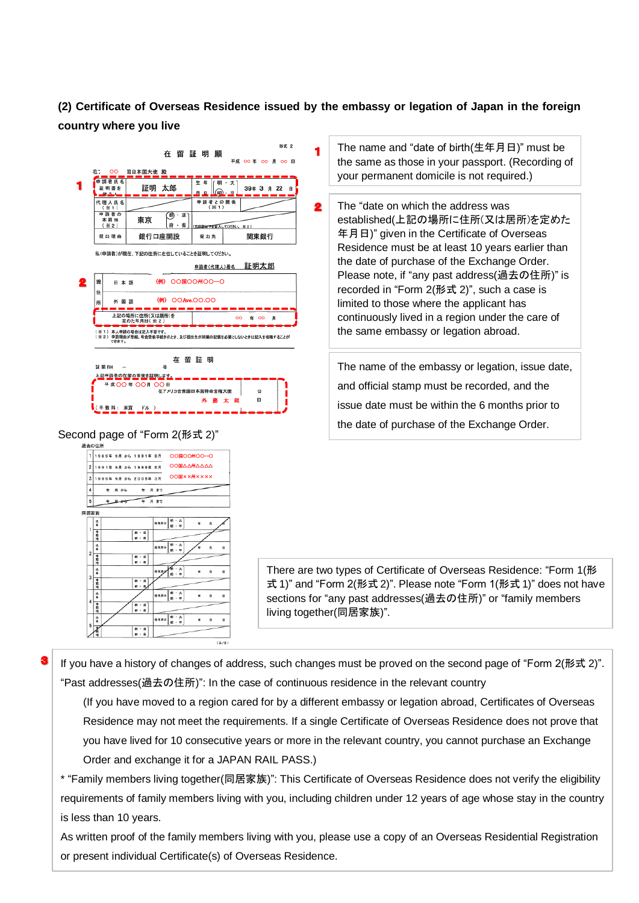# **(2) Certificate of Overseas Residence issued by the embassy or legation of Japan in the foreign country where you live**

 $\overline{\mathbf{2}}$ 



外 務 太 郎

面

Second page of "Form 2(形式 2)"

(手数料: 米賞 ドル )



The name and "date of birth(生年月日)" must be the same as those in your passport. (Recording of your permanent domicile is not required.)

The "date on which the address was established(上記の場所に住所(又は居所)を定めた 年月日)" given in the Certificate of Overseas Residence must be at least 10 years earlier than the date of purchase of the Exchange Order. Please note, if "any past address(過去の住所)" is recorded in "Form 2(形式 2)", such a case is limited to those where the applicant has continuously lived in a region under the care of the same embassy or legation abroad.

The name of the embassy or legation, issue date, and official stamp must be recorded, and the issue date must be within the 6 months prior to the date of purchase of the Exchange Order.

There are two types of Certificate of Overseas Residence: "Form 1(形 式 1)" and "Form 2(形式 2)". Please note "Form 1(形式 1)" does not have sections for "any past addresses(過去の住所)" or "family members living together(同居家族)".

If you have a history of changes of address, such changes must be proved on the second page of "Form 2(形式 2)". "Past addresses(過去の住所)": In the case of continuous residence in the relevant country

(If you have moved to a region cared for by a different embassy or legation abroad, Certificates of Overseas Residence may not meet the requirements. If a single Certificate of Overseas Residence does not prove that you have lived for 10 consecutive years or more in the relevant country, you cannot purchase an Exchange Order and exchange it for a JAPAN RAIL PASS.)

\* "Family members living together(同居家族)": This Certificate of Overseas Residence does not verify the eligibility requirements of family members living with you, including children under 12 years of age whose stay in the country is less than 10 years.

As written proof of the family members living with you, please use a copy of an Overseas Residential Registration or present individual Certificate(s) of Overseas Residence.